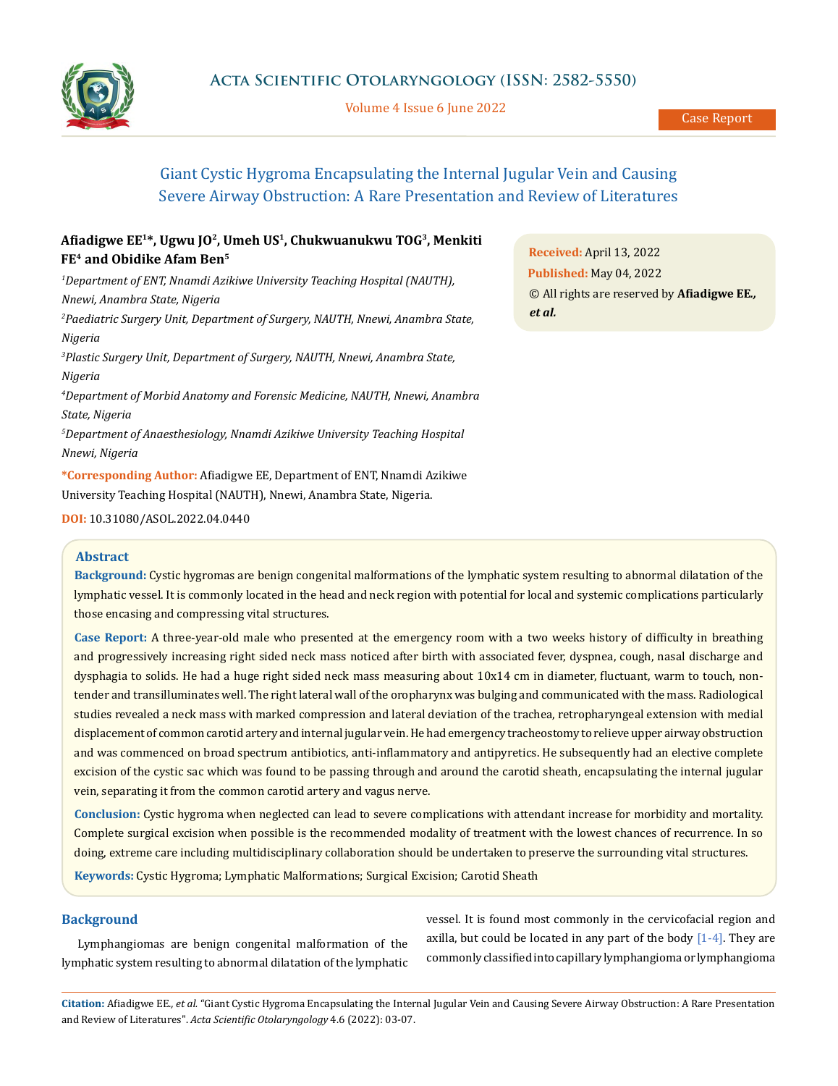

Volume 4 Issue 6 June 2022

# Giant Cystic Hygroma Encapsulating the Internal Jugular Vein and Causing Severe Airway Obstruction: A Rare Presentation and Review of Literatures

# **Afiadigwe EE<sup>1</sup>\*, Ugwu JO<sup>2</sup>, Umeh US<sup>1</sup>, Chukwuanukwu TOG<sup>3</sup>, Menkiti FE4 and Obidike Afam Ben<sup>5</sup>**

*1 Department of ENT, Nnamdi Azikiwe University Teaching Hospital (NAUTH), Nnewi, Anambra State, Nigeria 2 Paediatric Surgery Unit, Department of Surgery, NAUTH, Nnewi, Anambra State, Nigeria 3 Plastic Surgery Unit, Department of Surgery, NAUTH, Nnewi, Anambra State, Nigeria 4 Department of Morbid Anatomy and Forensic Medicine, NAUTH, Nnewi, Anambra State, Nigeria 5 Department of Anaesthesiology, Nnamdi Azikiwe University Teaching Hospital* 

*Nnewi, Nigeria* **\*Corresponding Author:** Afiadigwe EE, Department of ENT, Nnamdi Azikiwe

University Teaching Hospital (NAUTH), Nnewi, Anambra State, Nigeria.

### **Abstract**

**Background:** Cystic hygromas are benign congenital malformations of the lymphatic system resulting to abnormal dilatation of the lymphatic vessel. It is commonly located in the head and neck region with potential for local and systemic complications particularly those encasing and compressing vital structures.

**Case Report:** A three-year-old male who presented at the emergency room with a two weeks history of difficulty in breathing and progressively increasing right sided neck mass noticed after birth with associated fever, dyspnea, cough, nasal discharge and dysphagia to solids. He had a huge right sided neck mass measuring about 10x14 cm in diameter, fluctuant, warm to touch, nontender and transilluminates well. The right lateral wall of the oropharynx was bulging and communicated with the mass. Radiological studies revealed a neck mass with marked compression and lateral deviation of the trachea, retropharyngeal extension with medial displacement of common carotid artery and internal jugular vein. He had emergency tracheostomy to relieve upper airway obstruction and was commenced on broad spectrum antibiotics, anti-inflammatory and antipyretics. He subsequently had an elective complete excision of the cystic sac which was found to be passing through and around the carotid sheath, encapsulating the internal jugular vein, separating it from the common carotid artery and vagus nerve.

**Conclusion:** Cystic hygroma when neglected can lead to severe complications with attendant increase for morbidity and mortality. Complete surgical excision when possible is the recommended modality of treatment with the lowest chances of recurrence. In so doing, extreme care including multidisciplinary collaboration should be undertaken to preserve the surrounding vital structures.

**Keywords:** Cystic Hygroma; Lymphatic Malformations; Surgical Excision; Carotid Sheath

## **Background**

Lymphangiomas are benign congenital malformation of the lymphatic system resulting to abnormal dilatation of the lymphatic vessel. It is found most commonly in the cervicofacial region and axilla, but could be located in any part of the body  $[1-4]$ . They are commonly classified into capillary lymphangioma or lymphangioma

**Citation:** Afiadigwe EE*., et al.* "Giant Cystic Hygroma Encapsulating the Internal Jugular Vein and Causing Severe Airway Obstruction: A Rare Presentation and Review of Literatures". *Acta Scientific Otolaryngology* 4.6 (2022): 03-07.

**Received:** April 13, 2022 **Published:** May 04, 2022 © All rights are reserved by **Afiadigwe EE***., et al.*

**DOI:** [10.31080/ASOL.2022.04.04](http://actascientific.com/ASOL/pdf/ASOL-04-0440.pdf)40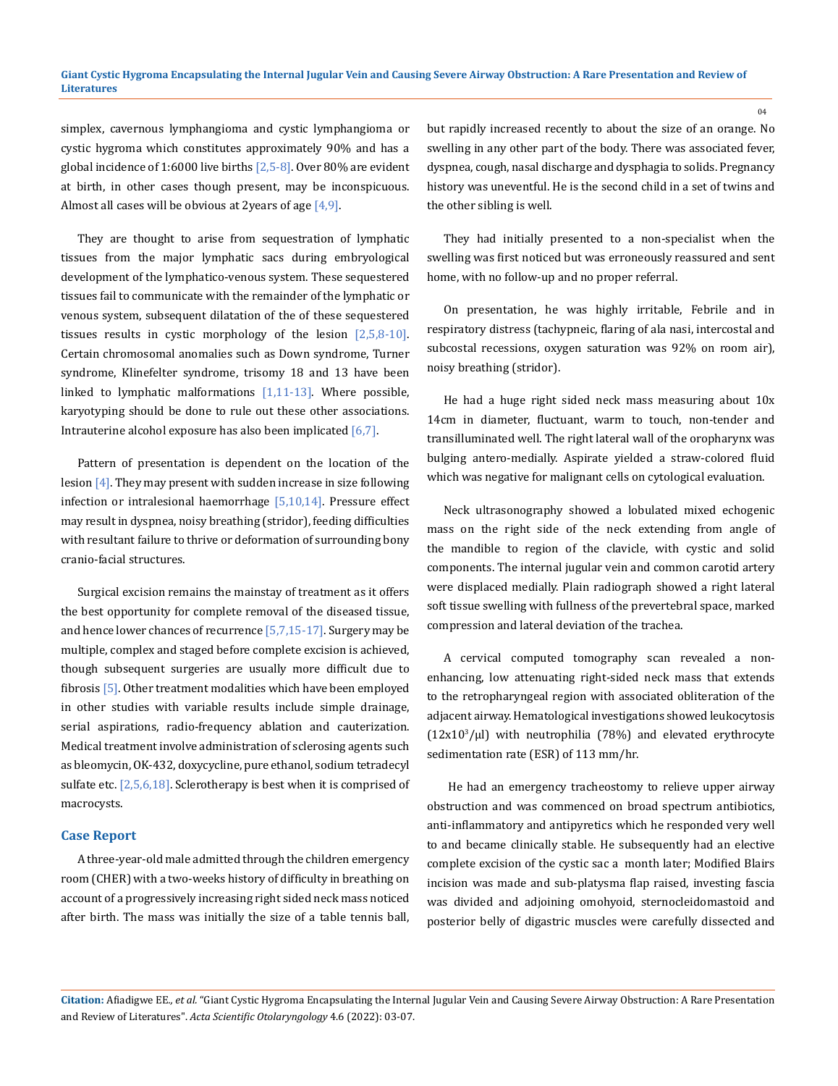simplex, cavernous lymphangioma and cystic lymphangioma or cystic hygroma which constitutes approximately 90% and has a global incidence of  $1:6000$  live births  $[2,5-8]$ . Over 80% are evident at birth, in other cases though present, may be inconspicuous. Almost all cases will be obvious at 2years of age [4,9].

They are thought to arise from sequestration of lymphatic tissues from the major lymphatic sacs during embryological development of the lymphatico-venous system. These sequestered tissues fail to communicate with the remainder of the lymphatic or venous system, subsequent dilatation of the of these sequestered tissues results in cystic morphology of the lesion  $[2,5,8-10]$ . Certain chromosomal anomalies such as Down syndrome, Turner syndrome, Klinefelter syndrome, trisomy 18 and 13 have been linked to lymphatic malformations  $[1,11-13]$ . Where possible, karyotyping should be done to rule out these other associations. Intrauterine alcohol exposure has also been implicated [6,7].

Pattern of presentation is dependent on the location of the lesion [4]. They may present with sudden increase in size following infection or intralesional haemorrhage [5,10,14]. Pressure effect may result in dyspnea, noisy breathing (stridor), feeding difficulties with resultant failure to thrive or deformation of surrounding bony cranio-facial structures.

Surgical excision remains the mainstay of treatment as it offers the best opportunity for complete removal of the diseased tissue, and hence lower chances of recurrence  $[5,7,15-17]$ . Surgery may be multiple, complex and staged before complete excision is achieved, though subsequent surgeries are usually more difficult due to fibrosis [5]. Other treatment modalities which have been employed in other studies with variable results include simple drainage, serial aspirations, radio-frequency ablation and cauterization. Medical treatment involve administration of sclerosing agents such as bleomycin, OK-432, doxycycline, pure ethanol, sodium tetradecyl sulfate etc.  $[2,5,6,18]$ . Sclerotherapy is best when it is comprised of macrocysts.

#### **Case Report**

A three-year-old male admitted through the children emergency room (CHER) with a two-weeks history of difficulty in breathing on account of a progressively increasing right sided neck mass noticed after birth. The mass was initially the size of a table tennis ball, but rapidly increased recently to about the size of an orange. No swelling in any other part of the body. There was associated fever, dyspnea, cough, nasal discharge and dysphagia to solids. Pregnancy history was uneventful. He is the second child in a set of twins and the other sibling is well.

They had initially presented to a non-specialist when the swelling was first noticed but was erroneously reassured and sent home, with no follow-up and no proper referral.

On presentation, he was highly irritable, Febrile and in respiratory distress (tachypneic, flaring of ala nasi, intercostal and subcostal recessions, oxygen saturation was 92% on room air), noisy breathing (stridor).

He had a huge right sided neck mass measuring about 10x 14cm in diameter, fluctuant, warm to touch, non-tender and transilluminated well. The right lateral wall of the oropharynx was bulging antero-medially. Aspirate yielded a straw-colored fluid which was negative for malignant cells on cytological evaluation.

Neck ultrasonography showed a lobulated mixed echogenic mass on the right side of the neck extending from angle of the mandible to region of the clavicle, with cystic and solid components. The internal jugular vein and common carotid artery were displaced medially. Plain radiograph showed a right lateral soft tissue swelling with fullness of the prevertebral space, marked compression and lateral deviation of the trachea.

A cervical computed tomography scan revealed a nonenhancing, low attenuating right-sided neck mass that extends to the retropharyngeal region with associated obliteration of the adjacent airway. Hematological investigations showed leukocytosis  $(12x10<sup>3</sup>/\mu l)$  with neutrophilia (78%) and elevated erythrocyte sedimentation rate (ESR) of 113 mm/hr.

 He had an emergency tracheostomy to relieve upper airway obstruction and was commenced on broad spectrum antibiotics, anti-inflammatory and antipyretics which he responded very well to and became clinically stable. He subsequently had an elective complete excision of the cystic sac a month later; Modified Blairs incision was made and sub-platysma flap raised, investing fascia was divided and adjoining omohyoid, sternocleidomastoid and posterior belly of digastric muscles were carefully dissected and

**Citation:** Afiadigwe EE*., et al.* "Giant Cystic Hygroma Encapsulating the Internal Jugular Vein and Causing Severe Airway Obstruction: A Rare Presentation and Review of Literatures". *Acta Scientific Otolaryngology* 4.6 (2022): 03-07.

 $04$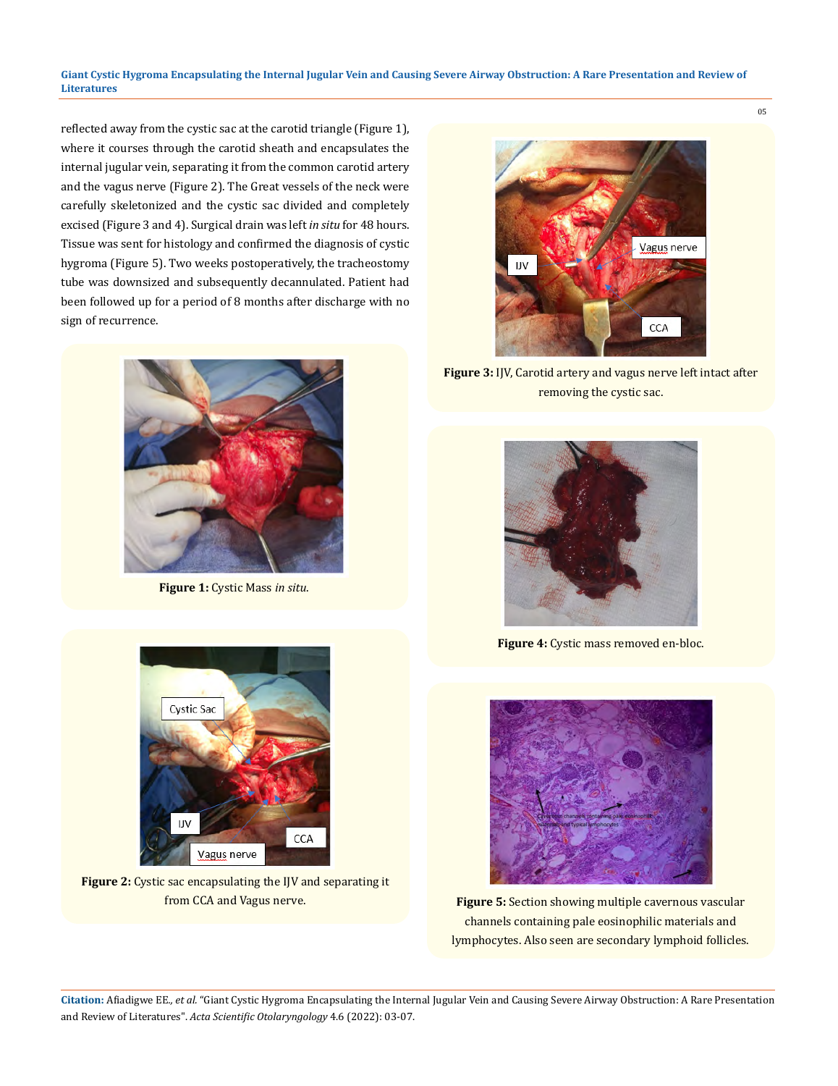**Giant Cystic Hygroma Encapsulating the Internal Jugular Vein and Causing Severe Airway Obstruction: A Rare Presentation and Review of Literatures**

reflected away from the cystic sac at the carotid triangle (Figure 1), where it courses through the carotid sheath and encapsulates the internal jugular vein, separating it from the common carotid artery and the vagus nerve (Figure 2). The Great vessels of the neck were carefully skeletonized and the cystic sac divided and completely excised (Figure 3 and 4). Surgical drain was left *in situ* for 48 hours. Tissue was sent for histology and confirmed the diagnosis of cystic hygroma (Figure 5). Two weeks postoperatively, the tracheostomy tube was downsized and subsequently decannulated. Patient had been followed up for a period of 8 months after discharge with no sign of recurrence.



**Figure 1:** Cystic Mass *in situ*.



**Figure 3:** IJV, Carotid artery and vagus nerve left intact after removing the cystic sac.



**Figure 4:** Cystic mass removed en-bloc.



**Figure 5:** Section showing multiple cavernous vascular channels containing pale eosinophilic materials and lymphocytes. Also seen are secondary lymphoid follicles.



**Figure 2:** Cystic sac encapsulating the IJV and separating it from CCA and Vagus nerve.

**Citation:** Afiadigwe EE*., et al.* "Giant Cystic Hygroma Encapsulating the Internal Jugular Vein and Causing Severe Airway Obstruction: A Rare Presentation and Review of Literatures". *Acta Scientific Otolaryngology* 4.6 (2022): 03-07.

05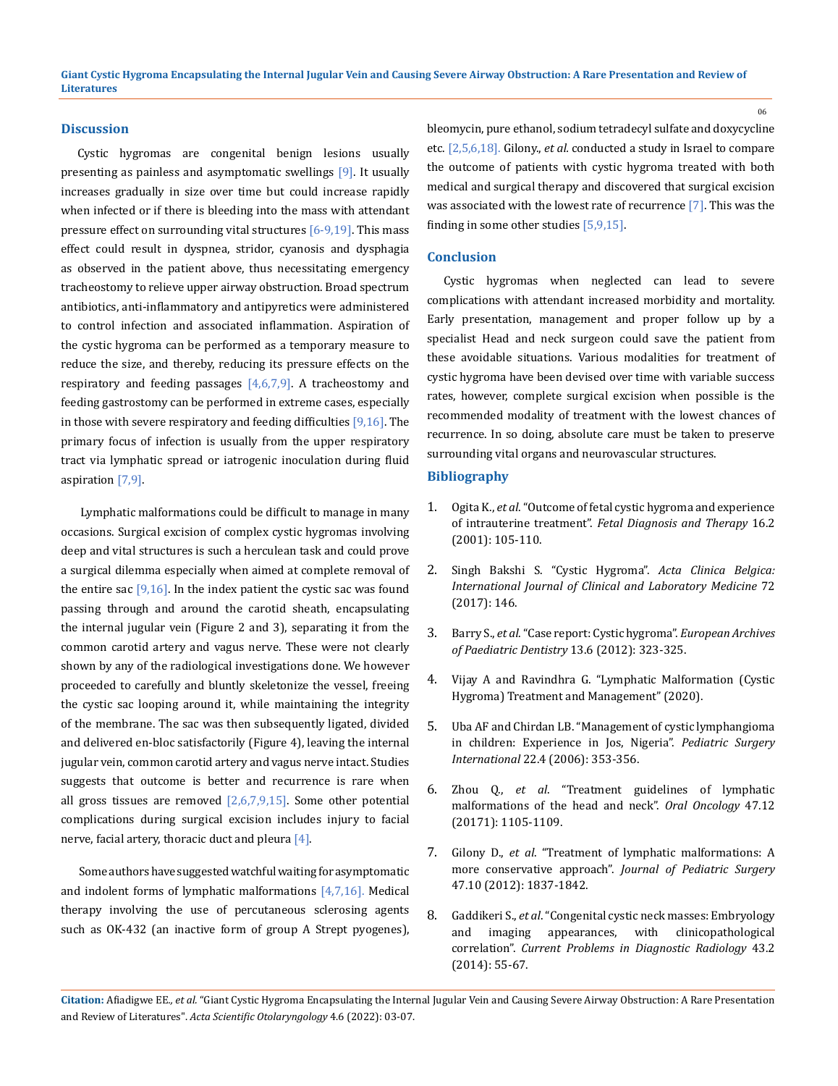#### **Discussion**

Cystic hygromas are congenital benign lesions usually presenting as painless and asymptomatic swellings [9]. It usually increases gradually in size over time but could increase rapidly when infected or if there is bleeding into the mass with attendant pressure effect on surrounding vital structures  $[6-9,19]$ . This mass effect could result in dyspnea, stridor, cyanosis and dysphagia as observed in the patient above, thus necessitating emergency tracheostomy to relieve upper airway obstruction. Broad spectrum antibiotics, anti-inflammatory and antipyretics were administered to control infection and associated inflammation. Aspiration of the cystic hygroma can be performed as a temporary measure to reduce the size, and thereby, reducing its pressure effects on the respiratory and feeding passages  $[4,6,7,9]$ . A tracheostomy and feeding gastrostomy can be performed in extreme cases, especially in those with severe respiratory and feeding difficulties  $[9,16]$ . The primary focus of infection is usually from the upper respiratory tract via lymphatic spread or iatrogenic inoculation during fluid aspiration  $[7,9]$ .

 Lymphatic malformations could be difficult to manage in many occasions. Surgical excision of complex cystic hygromas involving deep and vital structures is such a herculean task and could prove a surgical dilemma especially when aimed at complete removal of the entire sac  $[9,16]$ . In the index patient the cystic sac was found passing through and around the carotid sheath, encapsulating the internal jugular vein (Figure 2 and 3), separating it from the common carotid artery and vagus nerve. These were not clearly shown by any of the radiological investigations done. We however proceeded to carefully and bluntly skeletonize the vessel, freeing the cystic sac looping around it, while maintaining the integrity of the membrane. The sac was then subsequently ligated, divided and delivered en-bloc satisfactorily (Figure 4), leaving the internal jugular vein, common carotid artery and vagus nerve intact. Studies suggests that outcome is better and recurrence is rare when all gross tissues are removed  $[2,6,7,9,15]$ . Some other potential complications during surgical excision includes injury to facial nerve, facial artery, thoracic duct and pleura  $[4]$ .

 Some authors have suggested watchful waiting for asymptomatic and indolent forms of lymphatic malformations  $[4,7,16]$ . Medical therapy involving the use of percutaneous sclerosing agents such as OK-432 (an inactive form of group A Strept pyogenes),

bleomycin, pure ethanol, sodium tetradecyl sulfate and doxycycline etc. [2,5,6,18]. Gilony., *et al.* conducted a study in Israel to compare the outcome of patients with cystic hygroma treated with both medical and surgical therapy and discovered that surgical excision was associated with the lowest rate of recurrence [7]. This was the finding in some other studies [5,9,15].

#### **Conclusion**

Cystic hygromas when neglected can lead to severe complications with attendant increased morbidity and mortality. Early presentation, management and proper follow up by a specialist Head and neck surgeon could save the patient from these avoidable situations. Various modalities for treatment of cystic hygroma have been devised over time with variable success rates, however, complete surgical excision when possible is the recommended modality of treatment with the lowest chances of recurrence. In so doing, absolute care must be taken to preserve surrounding vital organs and neurovascular structures.

#### **Bibliography**

- 1. Ogita K., *et al*[. "Outcome of fetal cystic hygroma and experience](https://www.karger.com/Article/Abstract/53891)  of intrauterine treatment". *[Fetal Diagnosis and Therapy](https://www.karger.com/Article/Abstract/53891)* 16.2 [\(2001\): 105-110.](https://www.karger.com/Article/Abstract/53891)
- 2. [Singh Bakshi S. "Cystic Hygroma".](https://www.tandfonline.com/doi/abs/10.1080/17843286.2016.1181863) *Acta Clinica Belgica: [International Journal of Clinical and Laboratory Medicine](https://www.tandfonline.com/doi/abs/10.1080/17843286.2016.1181863)* 72 [\(2017\): 146.](https://www.tandfonline.com/doi/abs/10.1080/17843286.2016.1181863)
- 3. Barry S., *et al*[. "Case report: Cystic hygroma".](https://pubmed.ncbi.nlm.nih.gov/23235134/) *European Archives [of Paediatric Dentistry](https://pubmed.ncbi.nlm.nih.gov/23235134/)* 13.6 (2012): 323-325.
- 4. [Vijay A and Ravindhra G. "Lymphatic Malformation \(Cystic](https://emedicine.medscape.com/article/994055-treatment)  [Hygroma\) Treatment and Management" \(2020\).](https://emedicine.medscape.com/article/994055-treatment)
- 5. [Uba AF and Chirdan LB. "Management of cystic lymphangioma](https://pubmed.ncbi.nlm.nih.gov/16447072/)  [in children: Experience in Jos, Nigeria".](https://pubmed.ncbi.nlm.nih.gov/16447072/) *Pediatric Surgery International* [22.4 \(2006\): 353-356.](https://pubmed.ncbi.nlm.nih.gov/16447072/)
- 6. Zhou Q., *et al*[. "Treatment guidelines of lymphatic](https://pubmed.ncbi.nlm.nih.gov/21906990/)  [malformations of the head and neck".](https://pubmed.ncbi.nlm.nih.gov/21906990/) *Oral Oncology* 47.12 [\(20171\): 1105-1109.](https://pubmed.ncbi.nlm.nih.gov/21906990/)
- 7. Gilony D., *et al*[. "Treatment of lymphatic malformations: A](https://pubmed.ncbi.nlm.nih.gov/23084194/)  more conservative approach". *[Journal of Pediatric Surgery](https://pubmed.ncbi.nlm.nih.gov/23084194/)* [47.10 \(2012\): 1837-1842.](https://pubmed.ncbi.nlm.nih.gov/23084194/)
- 8. Gaddikeri S., *et al*[. "Congenital cystic neck masses: Embryology](https://pubmed.ncbi.nlm.nih.gov/24629659/)  [and imaging appearances, with clinicopathological](https://pubmed.ncbi.nlm.nih.gov/24629659/)  correlation". *[Current Problems in Diagnostic Radiology](https://pubmed.ncbi.nlm.nih.gov/24629659/)* 43.2 [\(2014\): 55-67.](https://pubmed.ncbi.nlm.nih.gov/24629659/)

06

**Citation:** Afiadigwe EE*., et al.* "Giant Cystic Hygroma Encapsulating the Internal Jugular Vein and Causing Severe Airway Obstruction: A Rare Presentation and Review of Literatures". *Acta Scientific Otolaryngology* 4.6 (2022): 03-07.